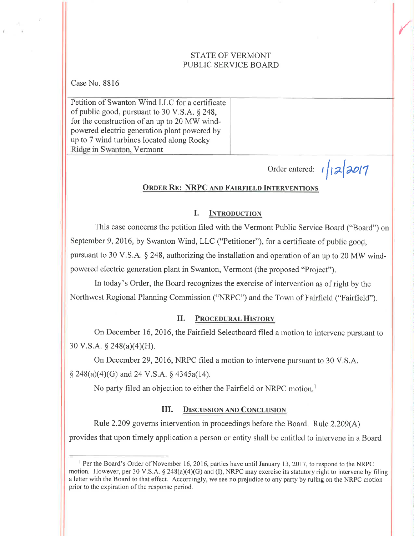# STATE OF VERMONT PUBLIC SERVICE BOARD

Case No. 88i6

Petition of Swanton Wind LLC for a certificate of public good, pursuant to 30 V.S.A. \$ 248, for the construction of an up to 20 MW windpowered electric generation plant powered by up to 7 wind turbines located along Rocky Ridge in Swanton, Vermont

Order entered:  $1/12/2017$ 

**Side Contracts** 

#### ORDER RE: NRPC AND FAIRFIELD INTERVENTIONS

#### I. INTRODUCTION

This case concerns the petition filed with the Vermont Public Service Board ("Board") on September 9,2016, by Swanton Wind, LLC ("Petitioner"), for a certificate of public good, pursuant to 30 V.S.A. § 248, authorizing the installation and operation of an up to 20 MW windpowered electric generation plant in Swanton, Vermont (the proposed "Project").

In today's Order, the Board recognizes the exercise of intervention as of right by the Northwest Regional Planning Commission ("NRPC") and the Town of Fairfield ("Fairfield").

# II. PROCEDURAL HISTORY

On December 16, 2016, the Fairfield Selectboard filed a motion to intervene pursuant to 30 V.S.A. § 248(a)(4)(H).

On December 29,2016, NRPC filed a motion to intervene pursuant to 30 V,S.A.  $\S$  248(a)(4)(G) and 24 V.S.A.  $\S$  4345a(14).

No party filed an objection to either the Fairfield or NRPC motion.<sup>1</sup>

### III. DISCUSSION AND CONCLUSION

Rule 2.209 governs intervention in proceedings before the Board. Rule 2.209(A) provides that upon timely application a person or entity shall be entitled to intervene in a Board

I Per the Board's Order of November 16, 2016, parties have until January 13, 2017, to respond to the NRPC motion. However, per 30 V.S.A.  $\S 248(a)(4)(G)$  and (I), NRPC may exercise its statutory right to intervene by filing a letter with the Board to that effect. Accordingly, we see no prejudice to any party by ruling on the NRPC motion prior to the expiration of the response period.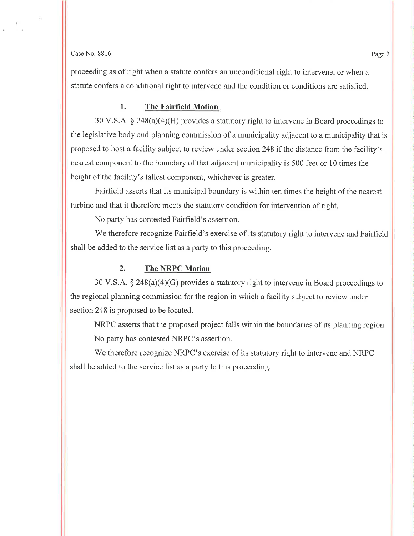#### $\cos N$ o. 8816 Page 2

proceeding as of right when a statute confers an unconditional right to intervene, or when a statute confers a conditional right to intervene and the condition or conditions are satisfied.

#### l. The Fairfield Motion

30 V.S.A.  $\S$  248(a)(4)(H) provides a statutory right to intervene in Board proceedings to the legislative body and planning commission of a municipality adjacent to a municipality that is proposed to host a facility subject to review under section 248 if the distance from the facility's nearest component to the boundary of that adjacent municipality is 500 feet or 10 times the height of the facility's tallest component, whichever is greater.

Fairfield asserts that its municipal boundary is within ten times the height of the nearest turbine and that it therefore meets the statutory condition for intervention of right.

No party has contested Fairfield's assertion.

We therefore recognize Fairfield's exercise of its statutory right to intervene and Fairfìeld shall be added to the service list as a party to this proceeding.

## 2. The NRPC Motion

30 V.S.A.  $\S$  248(a)(4)(G) provides a statutory right to intervene in Board proceedings to the regional planning commission for the region in which a facility subject to review under section 248 is proposed to be located.

NRPC asserts that the proposed project falls within the boundaries of its planning region. No party has contested NRPC's assertion.

We therefore recognize NRPC's exercise of its statutory right to intervene and NRPC shall be added to the service list as a party to this proceeding.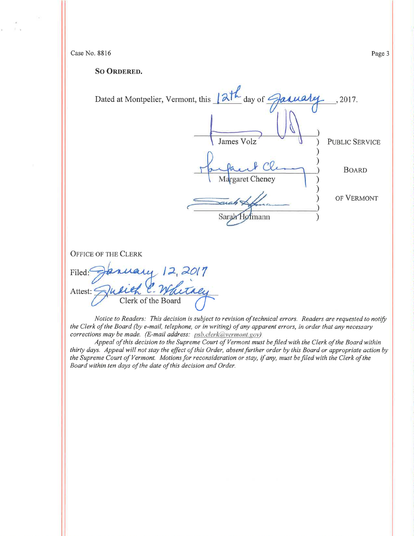Case No. 8816

 $\mathcal{V}$  ,  $\mathcal{U}$ 

SO ORDERED.

| Dated at Montpelier, Vermont, this 12th day of January | , 2017.               |
|--------------------------------------------------------|-----------------------|
| James Volz                                             | <b>PUBLIC SERVICE</b> |
| Margaret Cheney                                        | <b>BOARD</b>          |
| uaho<br>Sarah Hofmann                                  | OF VERMONT            |
| <b>OF THE CLERK</b><br>uy 12,2017                      |                       |

**OFFICE**  $Filed:$ Jusieh C. Whitaey Attest:  $\leq$ 

Notice to Readers: This decision is subject to revision of technical errors. Readers are requested to notify the Clerk of the Board (by e-mail, telephone, or in writing) of any apparent errors, in order that any necessary corrections may be made. (E-mail address: psb.clerk@vermont.gov)

Appeal of this decision to the Supreme Court of Vermont must be filed with the Clerk of the Board within thirty days. Appeal will not stay the effect of this Order, absent further order by this Board or appropriate action by the Supreme Court of Vermont. Motions for reconsideration or stay, if any, must be filed with the Clerk of the Board within ten days of the date of this decision and Order.

Page 3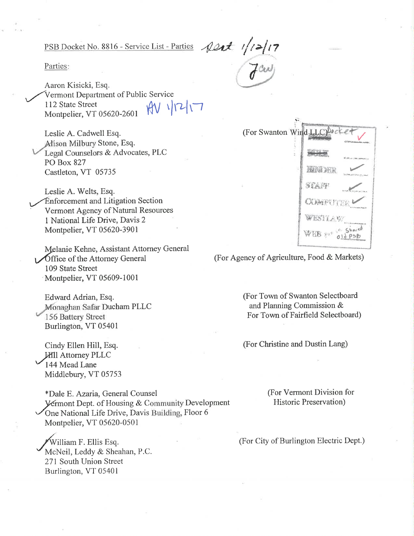$\frac{20x}{\sqrt{200}}$ PSB Docket No. 8816 - Service List - Parties

Parties:

Aaron Kisicki, Esq. Vermont Department of Public Service  $MV$   $|12|17$ 112 State Street Montpelier, VT 05620-2601

Leslie A. Cadwell Esq. Alison Milbury Stone, Esq. Legal Counselors & Advocates, PLC **PO Box 827** Castleton, VT 05735

Leslie A. Welts, Esq. **Enforcement and Litigation Section** Vermont Agency of Natural Resources 1 National Life Drive, Davis 2 Montpelier, VT 05620-3901

Melanie Kehne, Assistant Attorney General **Office of the Attorney General** 109 State Street Montpelier, VT 05609-1001

Edward Adrian, Esq. Monaghan Safar Ducham PLLC 156 Battery Street Burlington, VT 05401

Cindy Ellen Hill, Esq. **Hill Attorney PLLC** 144 Mead Lane Middlebury, VT 05753

\*Dale E. Azaria, General Counsel Vermont Dept. of Housing & Community Development One National Life Drive, Davis Building, Floor 6 Montpelier, VT 05620-0501

William F. Ellis Esq. McNeil, Leddy & Sheahan, P.C. 271 South Union Street Burlington, VT 05401

|  | (For Swanton Wind LLC) bocke<br><b>J'EPLAMMARE</b> |  |
|--|----------------------------------------------------|--|
|  | <b>ART PROGRESSIONS NATIONAL</b>                   |  |
|  | KADER.                                             |  |
|  | STAFF                                              |  |
|  | <b>COMPUTER</b>                                    |  |
|  | WESTLAW.                                           |  |
|  | WEB par old psb                                    |  |

(For Agency of Agriculture, Food & Markets)

(For Town of Swanton Selectboard and Planning Commission & For Town of Fairfield Selectboard)

(For Christine and Dustin Lang)

(For Vermont Division for Historic Preservation)

(For City of Burlington Electric Dept.)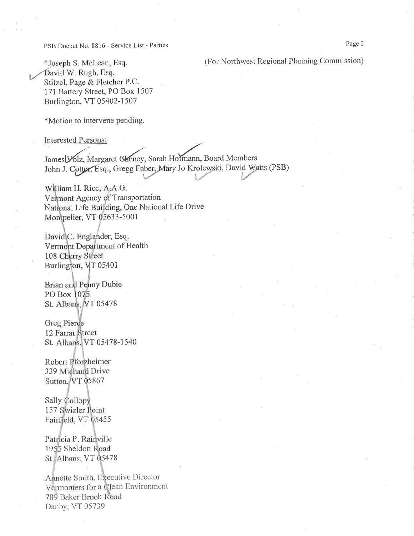PSB Docket No. 8816 - Service List - Parties

(For Northwest Regional Planning Commission)

\*Joseph S. McLean, Esq. David W. Rugh, Esq. Stitzel, Page & Fletcher P.C. 171 Battery Street, PO Box 1507 Burlington, VT 05402-1507

\*Motion to intervene pending.

**Interested Persons:** 

James Volz, Margaret Cheney, Sarah Hofmann, Board Members John J. Cotter, Esq., Gregg Faber, Mary Jo Krolewski, David Watts (PSB)

William H. Rice, A.A.G. Vermont Agency of Transportation National Life Building, One National Life Drive Montpelier, VT 05633-5001

David C. Englander, Esq. Vermont Department of Health 108 Cherry Street Burlington, VT 05401

Brian and Penny Dubie PO Box 1075 St. Albans, VT 05478

**Greg Pierce** 12 Farrar Street St. Albans, VT 05478-1540

Robert Pforzheimer 339 Michaud Drive Sutton, VT 05867

Sally Collopy 157 Swizler Point Fairfield, VT 05455

Patricia P. Rainville 1952 Sheldon Road St. Albans, VT 05478

Annette Smith, Executive Director Vermonters for a Clean Environment 789 Baker Brook Road Danby, VT 05739